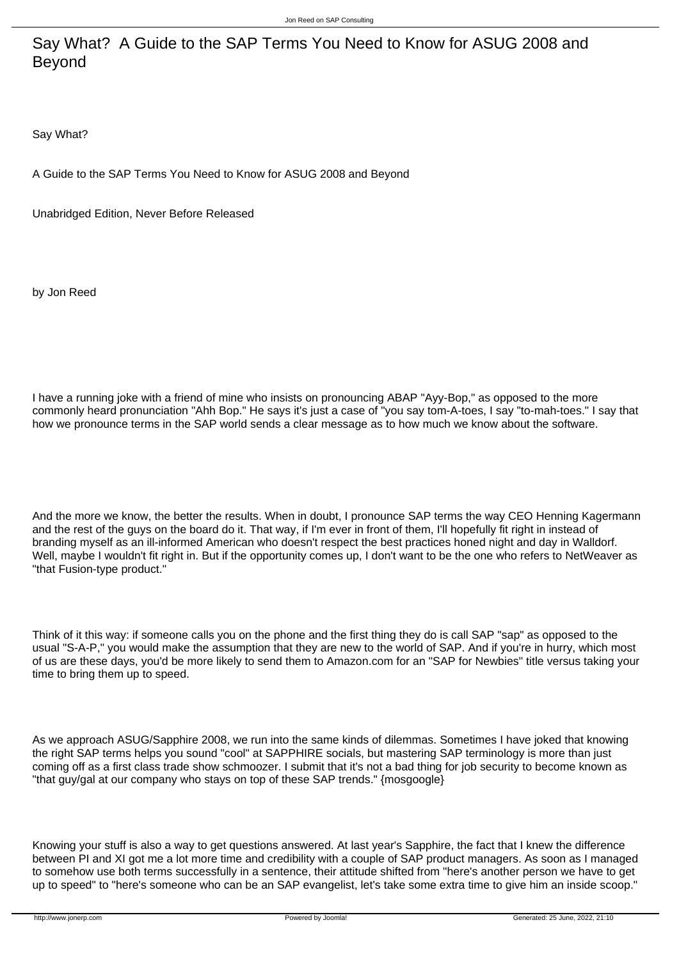Say What? A Guide to the SAP Terms You Need to Know for ASUG 2008 and Beyond

Say What?

A Guide to the SAP Terms You Need to Know for ASUG 2008 and Beyond

Unabridged Edition, Never Before Released

by Jon Reed

I have a running joke with a friend of mine who insists on pronouncing ABAP "Ayy-Bop," as opposed to the more commonly heard pronunciation "Ahh Bop." He says it's just a case of "you say tom-A-toes, I say "to-mah-toes." I say that how we pronounce terms in the SAP world sends a clear message as to how much we know about the software.

And the more we know, the better the results. When in doubt, I pronounce SAP terms the way CEO Henning Kagermann and the rest of the guys on the board do it. That way, if I'm ever in front of them, I'll hopefully fit right in instead of branding myself as an ill-informed American who doesn't respect the best practices honed night and day in Walldorf. Well, maybe I wouldn't fit right in. But if the opportunity comes up. I don't want to be the one who refers to NetWeaver as "that Fusion-type product."

Think of it this way: if someone calls you on the phone and the first thing they do is call SAP "sap" as opposed to the usual "S-A-P," you would make the assumption that they are new to the world of SAP. And if you're in hurry, which most of us are these days, you'd be more likely to send them to Amazon.com for an "SAP for Newbies" title versus taking your time to bring them up to speed.

As we approach ASUG/Sapphire 2008, we run into the same kinds of dilemmas. Sometimes I have joked that knowing the right SAP terms helps you sound "cool" at SAPPHIRE socials, but mastering SAP terminology is more than just coming off as a first class trade show schmoozer. I submit that it's not a bad thing for job security to become known as "that guy/gal at our company who stays on top of these SAP trends." {mosgoogle}

Knowing your stuff is also a way to get questions answered. At last year's Sapphire, the fact that I knew the difference between PI and XI got me a lot more time and credibility with a couple of SAP product managers. As soon as I managed to somehow use both terms successfully in a sentence, their attitude shifted from "here's another person we have to get up to speed" to "here's someone who can be an SAP evangelist, let's take some extra time to give him an inside scoop."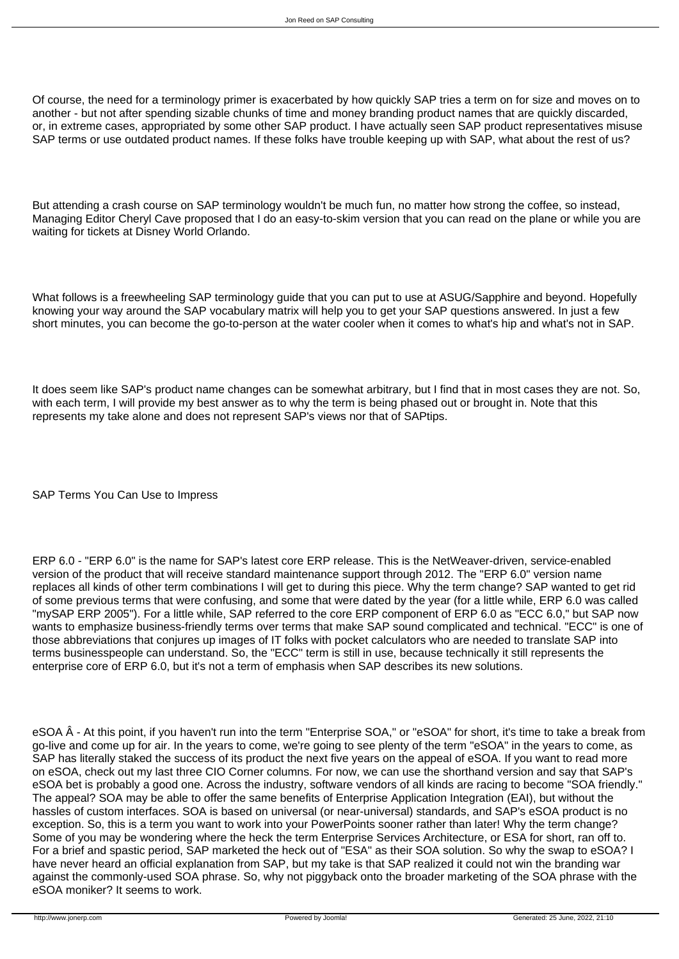Of course, the need for a terminology primer is exacerbated by how quickly SAP tries a term on for size and moves on to another - but not after spending sizable chunks of time and money branding product names that are quickly discarded, or, in extreme cases, appropriated by some other SAP product. I have actually seen SAP product representatives misuse SAP terms or use outdated product names. If these folks have trouble keeping up with SAP, what about the rest of us?

But attending a crash course on SAP terminology wouldn't be much fun, no matter how strong the coffee, so instead, Managing Editor Cheryl Cave proposed that I do an easy-to-skim version that you can read on the plane or while you are waiting for tickets at Disney World Orlando.

What follows is a freewheeling SAP terminology guide that you can put to use at ASUG/Sapphire and beyond. Hopefully knowing your way around the SAP vocabulary matrix will help you to get your SAP questions answered. In just a few short minutes, you can become the go-to-person at the water cooler when it comes to what's hip and what's not in SAP.

It does seem like SAP's product name changes can be somewhat arbitrary, but I find that in most cases they are not. So, with each term, I will provide my best answer as to why the term is being phased out or brought in. Note that this represents my take alone and does not represent SAP's views nor that of SAPtips.

SAP Terms You Can Use to Impress

ERP 6.0 - "ERP 6.0" is the name for SAP's latest core ERP release. This is the NetWeaver-driven, service-enabled version of the product that will receive standard maintenance support through 2012. The "ERP 6.0" version name replaces all kinds of other term combinations I will get to during this piece. Why the term change? SAP wanted to get rid of some previous terms that were confusing, and some that were dated by the year (for a little while, ERP 6.0 was called "mySAP ERP 2005"). For a little while, SAP referred to the core ERP component of ERP 6.0 as "ECC 6.0," but SAP now wants to emphasize business-friendly terms over terms that make SAP sound complicated and technical. "ECC" is one of those abbreviations that conjures up images of IT folks with pocket calculators who are needed to translate SAP into terms businesspeople can understand. So, the "ECC" term is still in use, because technically it still represents the enterprise core of ERP 6.0, but it's not a term of emphasis when SAP describes its new solutions.

eSOA Â - At this point, if you haven't run into the term "Enterprise SOA," or "eSOA" for short, it's time to take a break from go-live and come up for air. In the years to come, we're going to see plenty of the term "eSOA" in the years to come, as SAP has literally staked the success of its product the next five years on the appeal of eSOA. If you want to read more on eSOA, check out my last three CIO Corner columns. For now, we can use the shorthand version and say that SAP's eSOA bet is probably a good one. Across the industry, software vendors of all kinds are racing to become "SOA friendly." The appeal? SOA may be able to offer the same benefits of Enterprise Application Integration (EAI), but without the hassles of custom interfaces. SOA is based on universal (or near-universal) standards, and SAP's eSOA product is no exception. So, this is a term you want to work into your PowerPoints sooner rather than later! Why the term change? Some of you may be wondering where the heck the term Enterprise Services Architecture, or ESA for short, ran off to. For a brief and spastic period, SAP marketed the heck out of "ESA" as their SOA solution. So why the swap to eSOA? I have never heard an official explanation from SAP, but my take is that SAP realized it could not win the branding war against the commonly-used SOA phrase. So, why not piggyback onto the broader marketing of the SOA phrase with the eSOA moniker? It seems to work.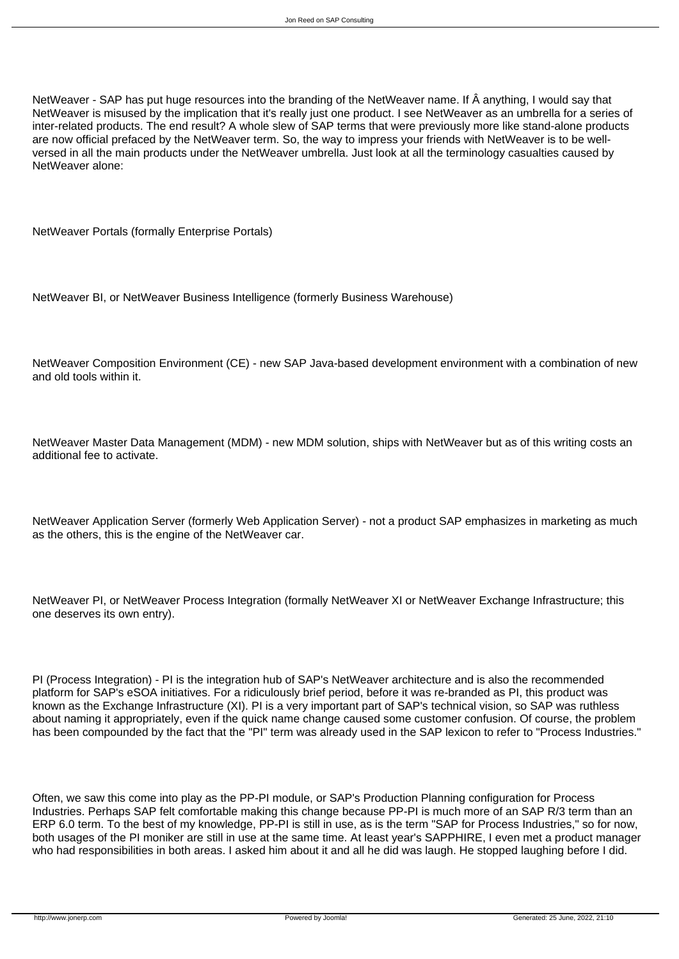NetWeaver - SAP has put huge resources into the branding of the NetWeaver name. If  $\hat{A}$  anything, I would say that NetWeaver is misused by the implication that it's really just one product. I see NetWeaver as an umbrella for a series of inter-related products. The end result? A whole slew of SAP terms that were previously more like stand-alone products are now official prefaced by the NetWeaver term. So, the way to impress your friends with NetWeaver is to be wellversed in all the main products under the NetWeaver umbrella. Just look at all the terminology casualties caused by NetWeaver alone:

NetWeaver Portals (formally Enterprise Portals)

NetWeaver BI, or NetWeaver Business Intelligence (formerly Business Warehouse)

NetWeaver Composition Environment (CE) - new SAP Java-based development environment with a combination of new and old tools within it.

NetWeaver Master Data Management (MDM) - new MDM solution, ships with NetWeaver but as of this writing costs an additional fee to activate.

NetWeaver Application Server (formerly Web Application Server) - not a product SAP emphasizes in marketing as much as the others, this is the engine of the NetWeaver car.

NetWeaver PI, or NetWeaver Process Integration (formally NetWeaver XI or NetWeaver Exchange Infrastructure; this one deserves its own entry).

PI (Process Integration) - PI is the integration hub of SAP's NetWeaver architecture and is also the recommended platform for SAP's eSOA initiatives. For a ridiculously brief period, before it was re-branded as PI, this product was known as the Exchange Infrastructure (XI). PI is a very important part of SAP's technical vision, so SAP was ruthless about naming it appropriately, even if the quick name change caused some customer confusion. Of course, the problem has been compounded by the fact that the "PI" term was already used in the SAP lexicon to refer to "Process Industries."

Often, we saw this come into play as the PP-PI module, or SAP's Production Planning configuration for Process Industries. Perhaps SAP felt comfortable making this change because PP-PI is much more of an SAP R/3 term than an ERP 6.0 term. To the best of my knowledge, PP-PI is still in use, as is the term "SAP for Process Industries," so for now, both usages of the PI moniker are still in use at the same time. At least year's SAPPHIRE, I even met a product manager who had responsibilities in both areas. I asked him about it and all he did was laugh. He stopped laughing before I did.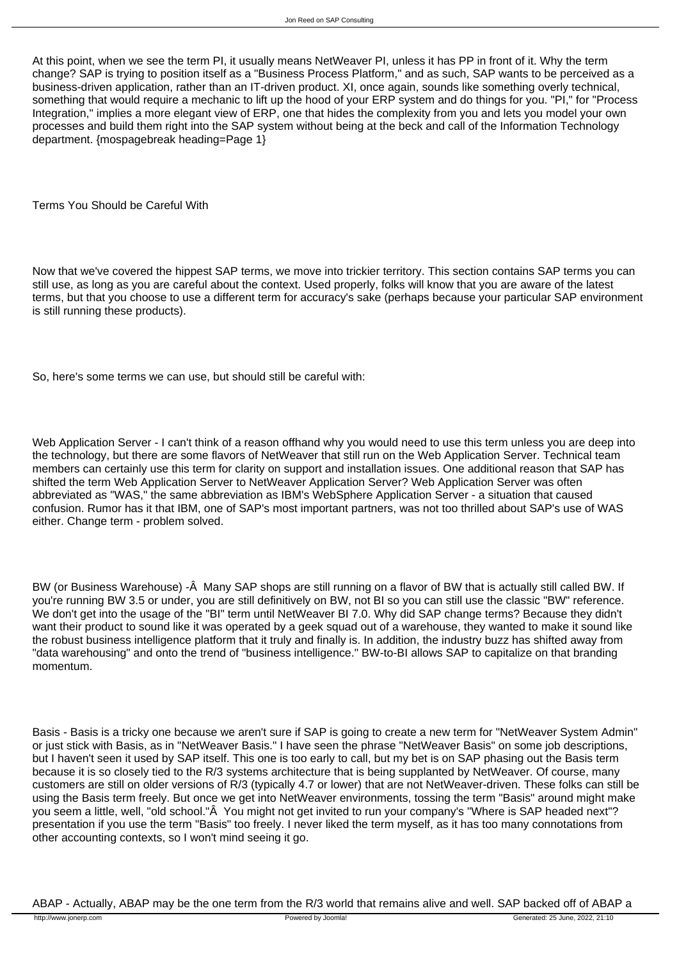At this point, when we see the term PI, it usually means NetWeaver PI, unless it has PP in front of it. Why the term change? SAP is trying to position itself as a "Business Process Platform," and as such, SAP wants to be perceived as a business-driven application, rather than an IT-driven product. XI, once again, sounds like something overly technical, something that would require a mechanic to lift up the hood of your ERP system and do things for you. "PI," for "Process Integration," implies a more elegant view of ERP, one that hides the complexity from you and lets you model your own processes and build them right into the SAP system without being at the beck and call of the Information Technology department. {mospagebreak heading=Page 1}

Terms You Should be Careful With

Now that we've covered the hippest SAP terms, we move into trickier territory. This section contains SAP terms you can still use, as long as you are careful about the context. Used properly, folks will know that you are aware of the latest terms, but that you choose to use a different term for accuracy's sake (perhaps because your particular SAP environment is still running these products).

So, here's some terms we can use, but should still be careful with:

Web Application Server - I can't think of a reason offhand why you would need to use this term unless you are deep into the technology, but there are some flavors of NetWeaver that still run on the Web Application Server. Technical team members can certainly use this term for clarity on support and installation issues. One additional reason that SAP has shifted the term Web Application Server to NetWeaver Application Server? Web Application Server was often abbreviated as "WAS," the same abbreviation as IBM's WebSphere Application Server - a situation that caused confusion. Rumor has it that IBM, one of SAP's most important partners, was not too thrilled about SAP's use of WAS either. Change term - problem solved.

BW (or Business Warehouse) -Â Many SAP shops are still running on a flavor of BW that is actually still called BW. If you're running BW 3.5 or under, you are still definitively on BW, not BI so you can still use the classic "BW" reference. We don't get into the usage of the "BI" term until NetWeaver BI 7.0. Why did SAP change terms? Because they didn't want their product to sound like it was operated by a geek squad out of a warehouse, they wanted to make it sound like the robust business intelligence platform that it truly and finally is. In addition, the industry buzz has shifted away from "data warehousing" and onto the trend of "business intelligence." BW-to-BI allows SAP to capitalize on that branding momentum.

Basis - Basis is a tricky one because we aren't sure if SAP is going to create a new term for "NetWeaver System Admin" or just stick with Basis, as in "NetWeaver Basis." I have seen the phrase "NetWeaver Basis" on some job descriptions, but I haven't seen it used by SAP itself. This one is too early to call, but my bet is on SAP phasing out the Basis term because it is so closely tied to the R/3 systems architecture that is being supplanted by NetWeaver. Of course, many customers are still on older versions of R/3 (typically 4.7 or lower) that are not NetWeaver-driven. These folks can still be using the Basis term freely. But once we get into NetWeaver environments, tossing the term "Basis" around might make you seem a little, well, "old school."Â You might not get invited to run your company's "Where is SAP headed next"? presentation if you use the term "Basis" too freely. I never liked the term myself, as it has too many connotations from other accounting contexts, so I won't mind seeing it go.

ABAP - Actually, ABAP may be the one term from the R/3 world that remains alive and well. SAP backed off of ABAP a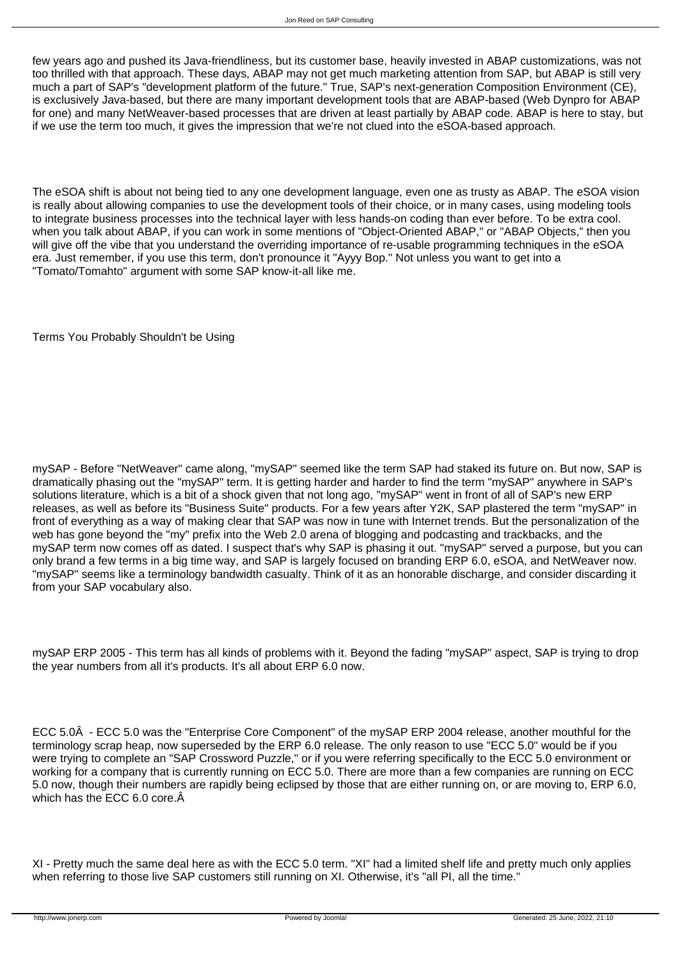few years ago and pushed its Java-friendliness, but its customer base, heavily invested in ABAP customizations, was not too thrilled with that approach. These days, ABAP may not get much marketing attention from SAP, but ABAP is still very much a part of SAP's "development platform of the future." True, SAP's next-generation Composition Environment (CE), is exclusively Java-based, but there are many important development tools that are ABAP-based (Web Dynpro for ABAP for one) and many NetWeaver-based processes that are driven at least partially by ABAP code. ABAP is here to stay, but if we use the term too much, it gives the impression that we're not clued into the eSOA-based approach.

The eSOA shift is about not being tied to any one development language, even one as trusty as ABAP. The eSOA vision is really about allowing companies to use the development tools of their choice, or in many cases, using modeling tools to integrate business processes into the technical layer with less hands-on coding than ever before. To be extra cool. when you talk about ABAP, if you can work in some mentions of "Object-Oriented ABAP," or "ABAP Objects," then you will give off the vibe that you understand the overriding importance of re-usable programming techniques in the eSOA era. Just remember, if you use this term, don't pronounce it "Ayyy Bop." Not unless you want to get into a "Tomato/Tomahto" argument with some SAP know-it-all like me.

Terms You Probably Shouldn't be Using

mySAP - Before "NetWeaver" came along, "mySAP" seemed like the term SAP had staked its future on. But now, SAP is dramatically phasing out the "mySAP" term. It is getting harder and harder to find the term "mySAP" anywhere in SAP's solutions literature, which is a bit of a shock given that not long ago, "mySAP" went in front of all of SAP's new ERP releases, as well as before its "Business Suite" products. For a few years after Y2K, SAP plastered the term "mySAP" in front of everything as a way of making clear that SAP was now in tune with Internet trends. But the personalization of the web has gone beyond the "my" prefix into the Web 2.0 arena of blogging and podcasting and trackbacks, and the mySAP term now comes off as dated. I suspect that's why SAP is phasing it out. "mySAP" served a purpose, but you can only brand a few terms in a big time way, and SAP is largely focused on branding ERP 6.0, eSOA, and NetWeaver now. "mySAP" seems like a terminology bandwidth casualty. Think of it as an honorable discharge, and consider discarding it from your SAP vocabulary also.

mySAP ERP 2005 - This term has all kinds of problems with it. Beyond the fading "mySAP" aspect, SAP is trying to drop the year numbers from all it's products. It's all about ERP 6.0 now.

ECC 5.0Â - ECC 5.0 was the "Enterprise Core Component" of the mySAP ERP 2004 release, another mouthful for the terminology scrap heap, now superseded by the ERP 6.0 release. The only reason to use "ECC 5.0" would be if you were trying to complete an "SAP Crossword Puzzle," or if you were referring specifically to the ECC 5.0 environment or working for a company that is currently running on ECC 5.0. There are more than a few companies are running on ECC 5.0 now, though their numbers are rapidly being eclipsed by those that are either running on, or are moving to, ERP 6.0, which has the ECC 6.0 core. $\hat{A}$ 

XI - Pretty much the same deal here as with the ECC 5.0 term. "XI" had a limited shelf life and pretty much only applies when referring to those live SAP customers still running on XI. Otherwise, it's "all PI, all the time."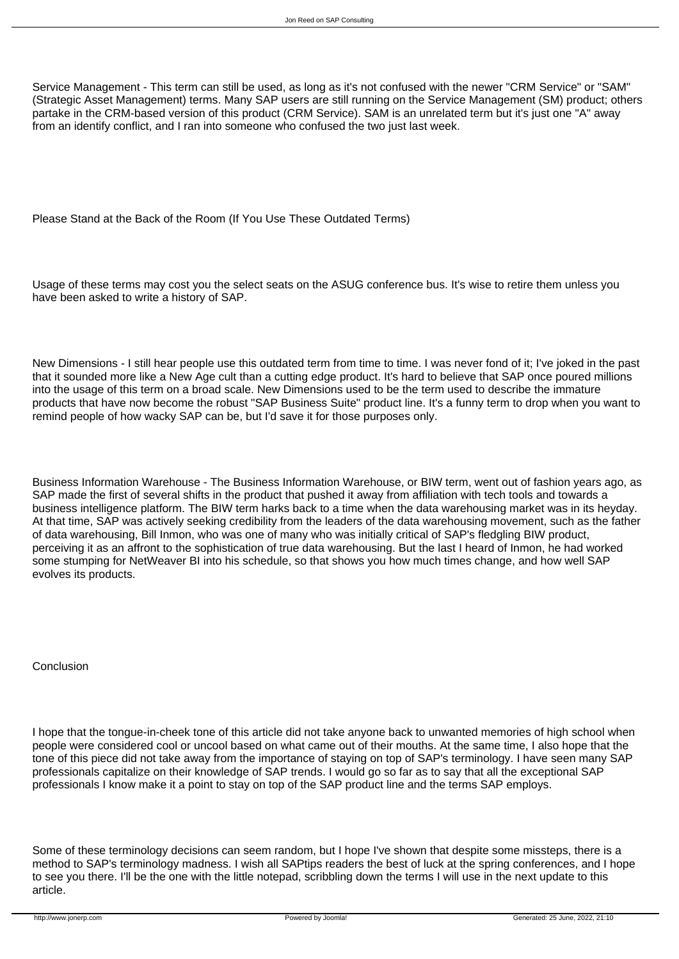Service Management - This term can still be used, as long as it's not confused with the newer "CRM Service" or "SAM" (Strategic Asset Management) terms. Many SAP users are still running on the Service Management (SM) product; others partake in the CRM-based version of this product (CRM Service). SAM is an unrelated term but it's just one "A" away from an identify conflict, and I ran into someone who confused the two just last week.

Please Stand at the Back of the Room (If You Use These Outdated Terms)

Usage of these terms may cost you the select seats on the ASUG conference bus. It's wise to retire them unless you have been asked to write a history of SAP.

New Dimensions - I still hear people use this outdated term from time to time. I was never fond of it; I've joked in the past that it sounded more like a New Age cult than a cutting edge product. It's hard to believe that SAP once poured millions into the usage of this term on a broad scale. New Dimensions used to be the term used to describe the immature products that have now become the robust "SAP Business Suite" product line. It's a funny term to drop when you want to remind people of how wacky SAP can be, but I'd save it for those purposes only.

Business Information Warehouse - The Business Information Warehouse, or BIW term, went out of fashion years ago, as SAP made the first of several shifts in the product that pushed it away from affiliation with tech tools and towards a business intelligence platform. The BIW term harks back to a time when the data warehousing market was in its heyday. At that time, SAP was actively seeking credibility from the leaders of the data warehousing movement, such as the father of data warehousing, Bill Inmon, who was one of many who was initially critical of SAP's fledgling BIW product, perceiving it as an affront to the sophistication of true data warehousing. But the last I heard of Inmon, he had worked some stumping for NetWeaver BI into his schedule, so that shows you how much times change, and how well SAP evolves its products.

Conclusion

I hope that the tongue-in-cheek tone of this article did not take anyone back to unwanted memories of high school when people were considered cool or uncool based on what came out of their mouths. At the same time, I also hope that the tone of this piece did not take away from the importance of staying on top of SAP's terminology. I have seen many SAP professionals capitalize on their knowledge of SAP trends. I would go so far as to say that all the exceptional SAP professionals I know make it a point to stay on top of the SAP product line and the terms SAP employs.

Some of these terminology decisions can seem random, but I hope I've shown that despite some missteps, there is a method to SAP's terminology madness. I wish all SAPtips readers the best of luck at the spring conferences, and I hope to see you there. I'll be the one with the little notepad, scribbling down the terms I will use in the next update to this article.